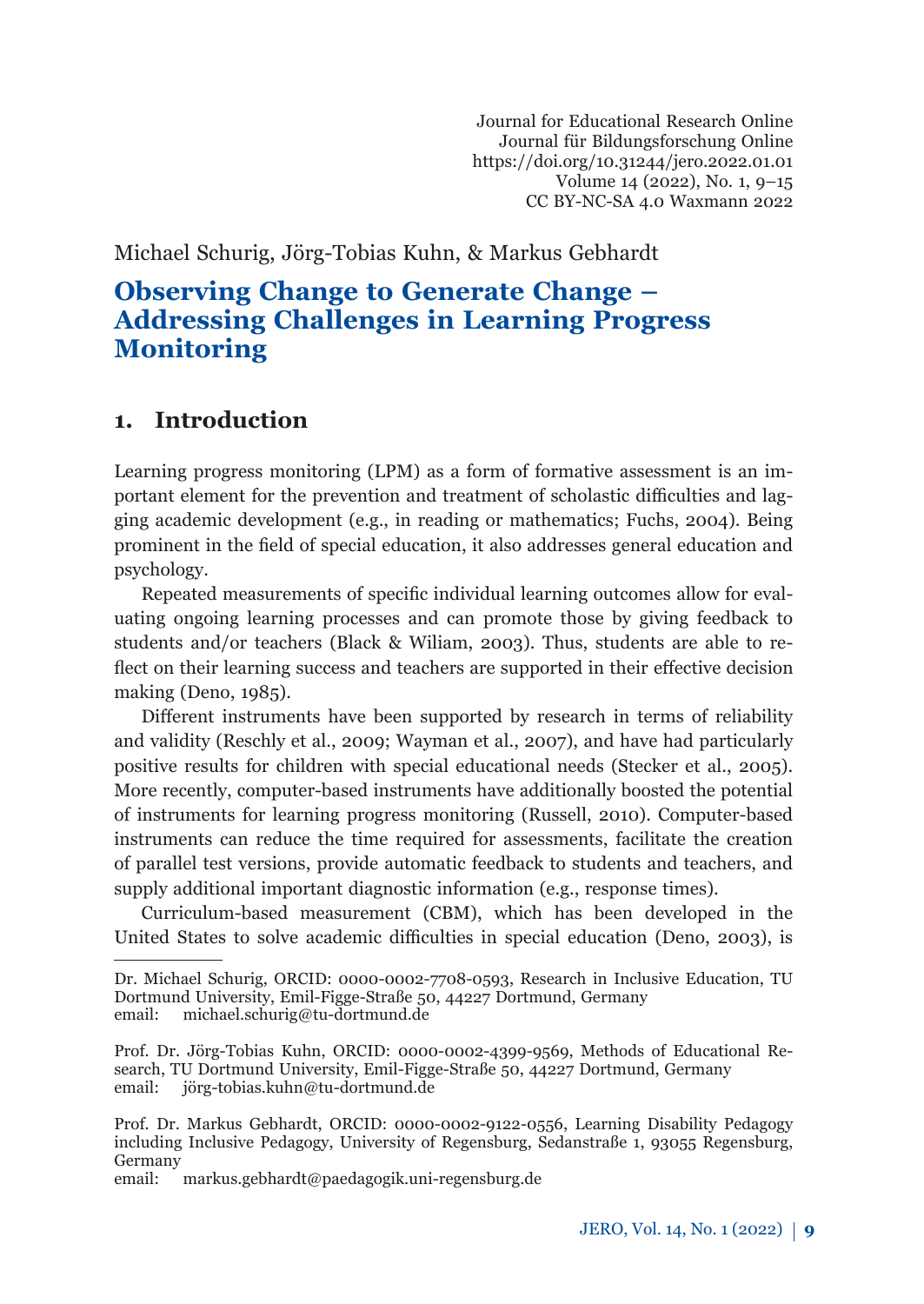Journal for Educational Research Online Journal für Bildungsforschung Online https://doi.org/10.31244/jero.2022.01.01 Volume 14 (2022), No. 1, 9–15 CC BY-NC-SA 4.0 Waxmann 2022

Michael Schurig, Jörg-Tobias Kuhn, & Markus Gebhardt

# **Observing Change to Generate Change – Addressing Challenges in Learning Progress Monitoring**

# **1. Introduction**

Learning progress monitoring (LPM) as a form of formative assessment is an important element for the prevention and treatment of scholastic difficulties and lagging academic development (e.g., in reading or mathematics; Fuchs, 2004). Being prominent in the field of special education, it also addresses general education and psychology.

Repeated measurements of specific individual learning outcomes allow for evaluating ongoing learning processes and can promote those by giving feedback to students and/or teachers (Black & Wiliam, 2003). Thus, students are able to reflect on their learning success and teachers are supported in their effective decision making (Deno, 1985).

Different instruments have been supported by research in terms of reliability and validity (Reschly et al., 2009; Wayman et al., 2007), and have had particularly positive results for children with special educational needs (Stecker et al., 2005). More recently, computer-based instruments have additionally boosted the potential of instruments for learning progress monitoring (Russell, 2010). Computer-based instruments can reduce the time required for assessments, facilitate the creation of parallel test versions, provide automatic feedback to students and teachers, and supply additional important diagnostic information (e.g., response times).

Curriculum-based measurement (CBM), which has been developed in the United States to solve academic difficulties in special education (Deno, 2003), is

Dr. Michael Schurig, ORCID: 0000-0002-7708-0593, Research in Inclusive Education, TU Dortmund University, Emil-Figge-Straße 50, 44227 Dortmund, Germany email: [michael.schurig@tu-dortmund.de](mailto:michael.schurig@tu-dortmund.de)

Prof. Dr. Jörg-Tobias Kuhn, ORCID: 0000-0002-4399-9569, Methods of Educational Research, TU Dortmund University, Emil-Figge-Straße 50, 44227 Dortmund, Germany<br>email: iörg-tobias.kuhn@tu-dortmund.de [jörg-tobias.kuhn@tu-dortmund.de](mailto:jörg-tobias.kuhn@tu-dortmund.de)

Prof. Dr. Markus Gebhardt, ORCID: 0000-0002-9122-0556, Learning Disability Pedagogy including Inclusive Pedagogy, University of Regensburg, Sedanstraße 1, 93055 Regensburg, Germany

email: [markus.gebhardt@paedagogik.uni-regensburg.de](mailto:markus.gebhardt@paedagogik.uni-regensburg.de)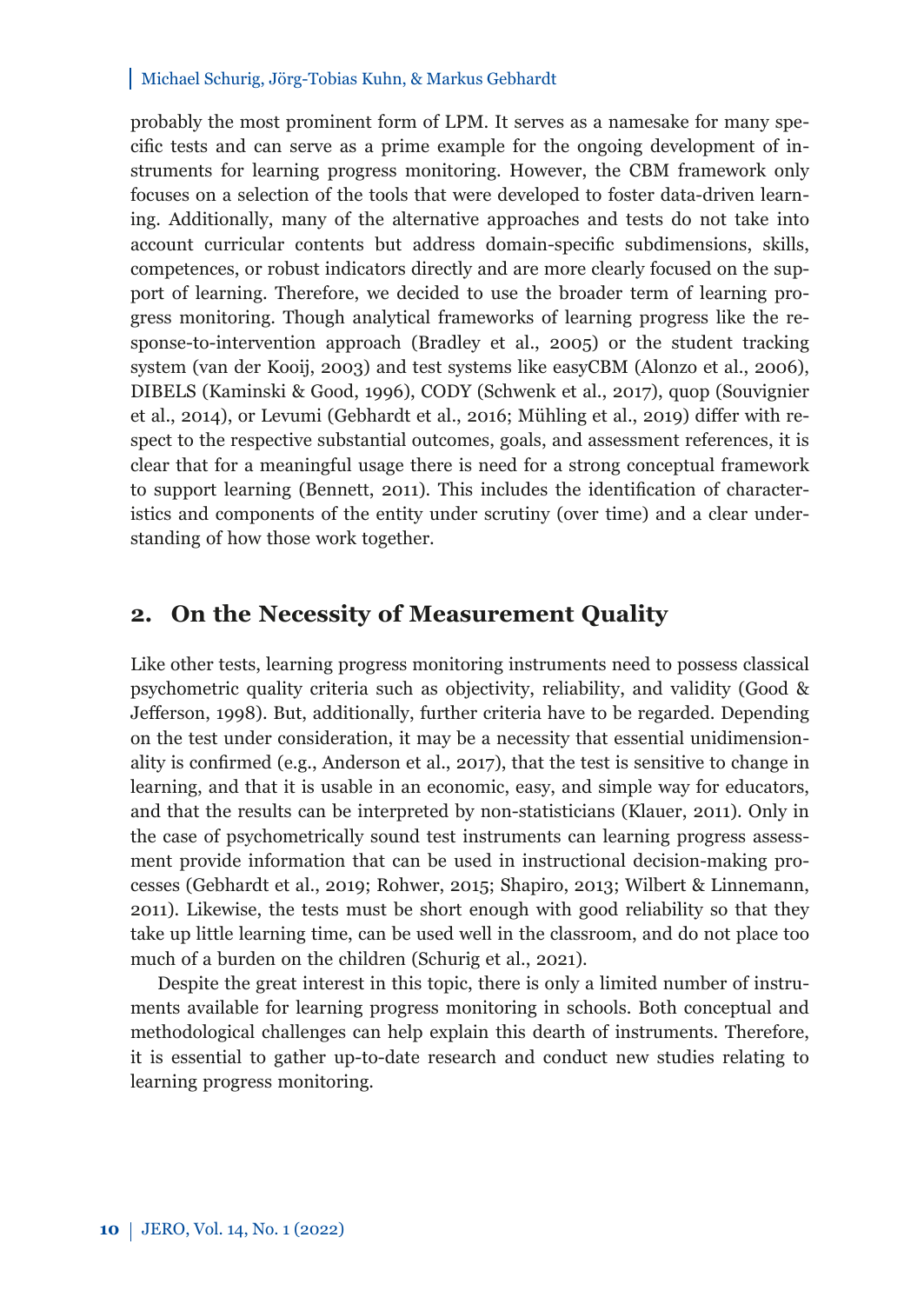#### Michael Schurig, Jörg-Tobias Kuhn, & Markus Gebhardt

probably the most prominent form of LPM. It serves as a namesake for many specific tests and can serve as a prime example for the ongoing development of instruments for learning progress monitoring. However, the CBM framework only focuses on a selection of the tools that were developed to foster data-driven learning. Additionally, many of the alternative approaches and tests do not take into account curricular contents but address domain-specific subdimensions, skills, competences, or robust indicators directly and are more clearly focused on the support of learning. Therefore, we decided to use the broader term of learning progress monitoring. Though analytical frameworks of learning progress like the response-to-intervention approach (Bradley et al., 2005) or the student tracking system (van der Kooij, 2003) and test systems like easyCBM (Alonzo et al., 2006), DIBELS (Kaminski & Good, 1996), CODY (Schwenk et al., 2017), quop (Souvignier et al., 2014), or Levumi (Gebhardt et al., 2016; Mühling et al., 2019) differ with respect to the respective substantial outcomes, goals, and assessment references, it is clear that for a meaningful usage there is need for a strong conceptual framework to support learning (Bennett, 2011). This includes the identification of characteristics and components of the entity under scrutiny (over time) and a clear understanding of how those work together.

### **2. On the Necessity of Measurement Quality**

Like other tests, learning progress monitoring instruments need to possess classical psychometric quality criteria such as objectivity, reliability, and validity (Good & Jefferson, 1998). But, additionally, further criteria have to be regarded. Depending on the test under consideration, it may be a necessity that essential unidimensionality is confirmed (e.g., Anderson et al., 2017), that the test is sensitive to change in learning, and that it is usable in an economic, easy, and simple way for educators, and that the results can be interpreted by non-statisticians (Klauer, 2011). Only in the case of psychometrically sound test instruments can learning progress assessment provide information that can be used in instructional decision-making processes (Gebhardt et al., 2019; Rohwer, 2015; Shapiro, 2013; Wilbert & Linnemann, 2011). Likewise, the tests must be short enough with good reliability so that they take up little learning time, can be used well in the classroom, and do not place too much of a burden on the children (Schurig et al., 2021).

Despite the great interest in this topic, there is only a limited number of instruments available for learning progress monitoring in schools. Both conceptual and methodological challenges can help explain this dearth of instruments. Therefore, it is essential to gather up-to-date research and conduct new studies relating to learning progress monitoring.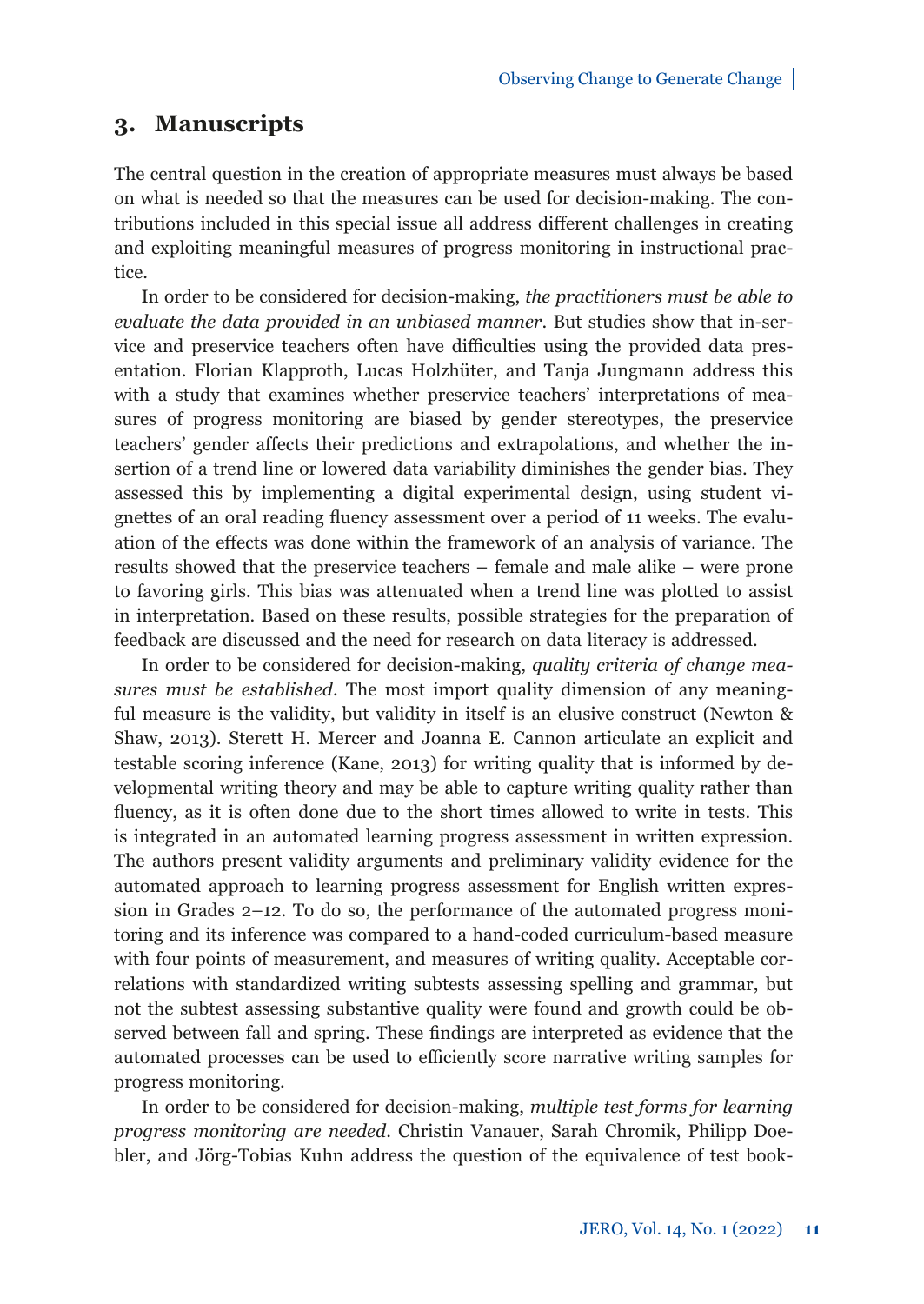# **3. Manuscripts**

The central question in the creation of appropriate measures must always be based on what is needed so that the measures can be used for decision-making. The contributions included in this special issue all address different challenges in creating and exploiting meaningful measures of progress monitoring in instructional practice.

In order to be considered for decision-making, *the practitioners must be able to evaluate the data provided in an unbiased manner*. But studies show that in-service and preservice teachers often have difficulties using the provided data presentation. Florian Klapproth, Lucas Holzhüter, and Tanja Jungmann address this with a study that examines whether preservice teachers' interpretations of measures of progress monitoring are biased by gender stereotypes, the preservice teachers' gender affects their predictions and extrapolations, and whether the insertion of a trend line or lowered data variability diminishes the gender bias. They assessed this by implementing a digital experimental design, using student vignettes of an oral reading fluency assessment over a period of 11 weeks. The evaluation of the effects was done within the framework of an analysis of variance. The results showed that the preservice teachers – female and male alike – were prone to favoring girls. This bias was attenuated when a trend line was plotted to assist in interpretation. Based on these results, possible strategies for the preparation of feedback are discussed and the need for research on data literacy is addressed.

In order to be considered for decision-making, *quality criteria of change measures must be established*. The most import quality dimension of any meaningful measure is the validity, but validity in itself is an elusive construct (Newton & Shaw, 2013). Sterett H. Mercer and Joanna E. Cannon articulate an explicit and testable scoring inference (Kane, 2013) for writing quality that is informed by developmental writing theory and may be able to capture writing quality rather than fluency, as it is often done due to the short times allowed to write in tests. This is integrated in an automated learning progress assessment in written expression. The authors present validity arguments and preliminary validity evidence for the automated approach to learning progress assessment for English written expression in Grades 2–12. To do so, the performance of the automated progress monitoring and its inference was compared to a hand-coded curriculum-based measure with four points of measurement, and measures of writing quality. Acceptable correlations with standardized writing subtests assessing spelling and grammar, but not the subtest assessing substantive quality were found and growth could be observed between fall and spring. These findings are interpreted as evidence that the automated processes can be used to efficiently score narrative writing samples for progress monitoring.

In order to be considered for decision-making, *multiple test forms for learning progress monitoring are needed*. Christin Vanauer, Sarah Chromik, Philipp Doebler, and Jörg-Tobias Kuhn address the question of the equivalence of test book-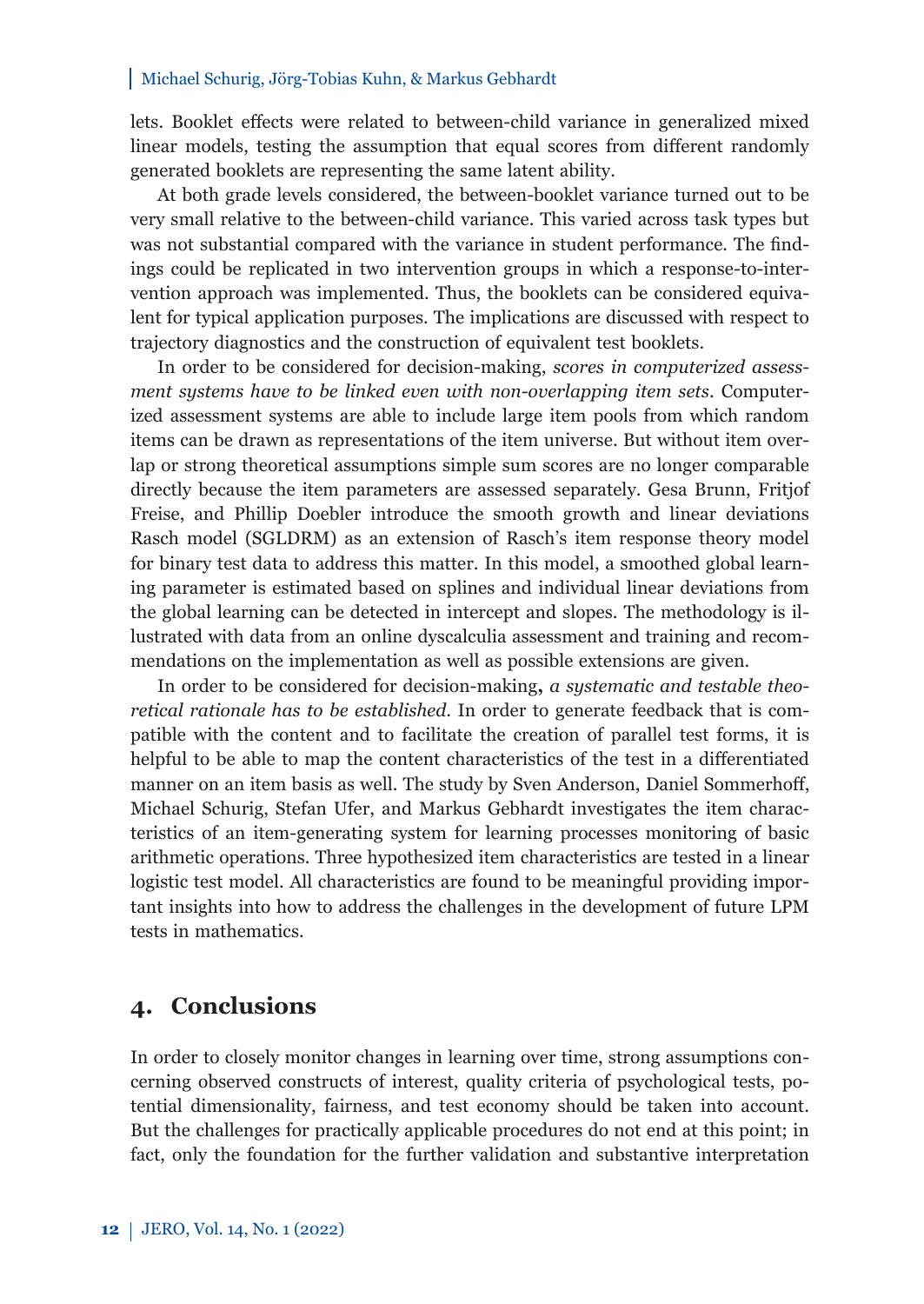#### Michael Schurig, Jörg-Tobias Kuhn, & Markus Gebhardt

lets. Booklet effects were related to between-child variance in generalized mixed linear models, testing the assumption that equal scores from different randomly generated booklets are representing the same latent ability.

At both grade levels considered, the between-booklet variance turned out to be very small relative to the between-child variance. This varied across task types but was not substantial compared with the variance in student performance. The findings could be replicated in two intervention groups in which a response-to-intervention approach was implemented. Thus, the booklets can be considered equivalent for typical application purposes. The implications are discussed with respect to trajectory diagnostics and the construction of equivalent test booklets.

In order to be considered for decision-making, *scores in computerized assessment systems have to be linked even with non-overlapping item sets*. Computerized assessment systems are able to include large item pools from which random items can be drawn as representations of the item universe. But without item overlap or strong theoretical assumptions simple sum scores are no longer comparable directly because the item parameters are assessed separately. Gesa Brunn, Fritjof Freise, and Phillip Doebler introduce the smooth growth and linear deviations Rasch model (SGLDRM) as an extension of Rasch's item response theory model for binary test data to address this matter. In this model, a smoothed global learning parameter is estimated based on splines and individual linear deviations from the global learning can be detected in intercept and slopes. The methodology is illustrated with data from an online dyscalculia assessment and training and recommendations on the implementation as well as possible extensions are given.

In order to be considered for decision-making**,** *a systematic and testable theoretical rationale has to be established*. In order to generate feedback that is compatible with the content and to facilitate the creation of parallel test forms, it is helpful to be able to map the content characteristics of the test in a differentiated manner on an item basis as well. The study by Sven Anderson, Daniel Sommerhoff, Michael Schurig, Stefan Ufer, and Markus Gebhardt investigates the item characteristics of an item-generating system for learning processes monitoring of basic arithmetic operations. Three hypothesized item characteristics are tested in a linear logistic test model. All characteristics are found to be meaningful providing important insights into how to address the challenges in the development of future LPM tests in mathematics.

### **4. Conclusions**

In order to closely monitor changes in learning over time, strong assumptions concerning observed constructs of interest, quality criteria of psychological tests, potential dimensionality, fairness, and test economy should be taken into account. But the challenges for practically applicable procedures do not end at this point; in fact, only the foundation for the further validation and substantive interpretation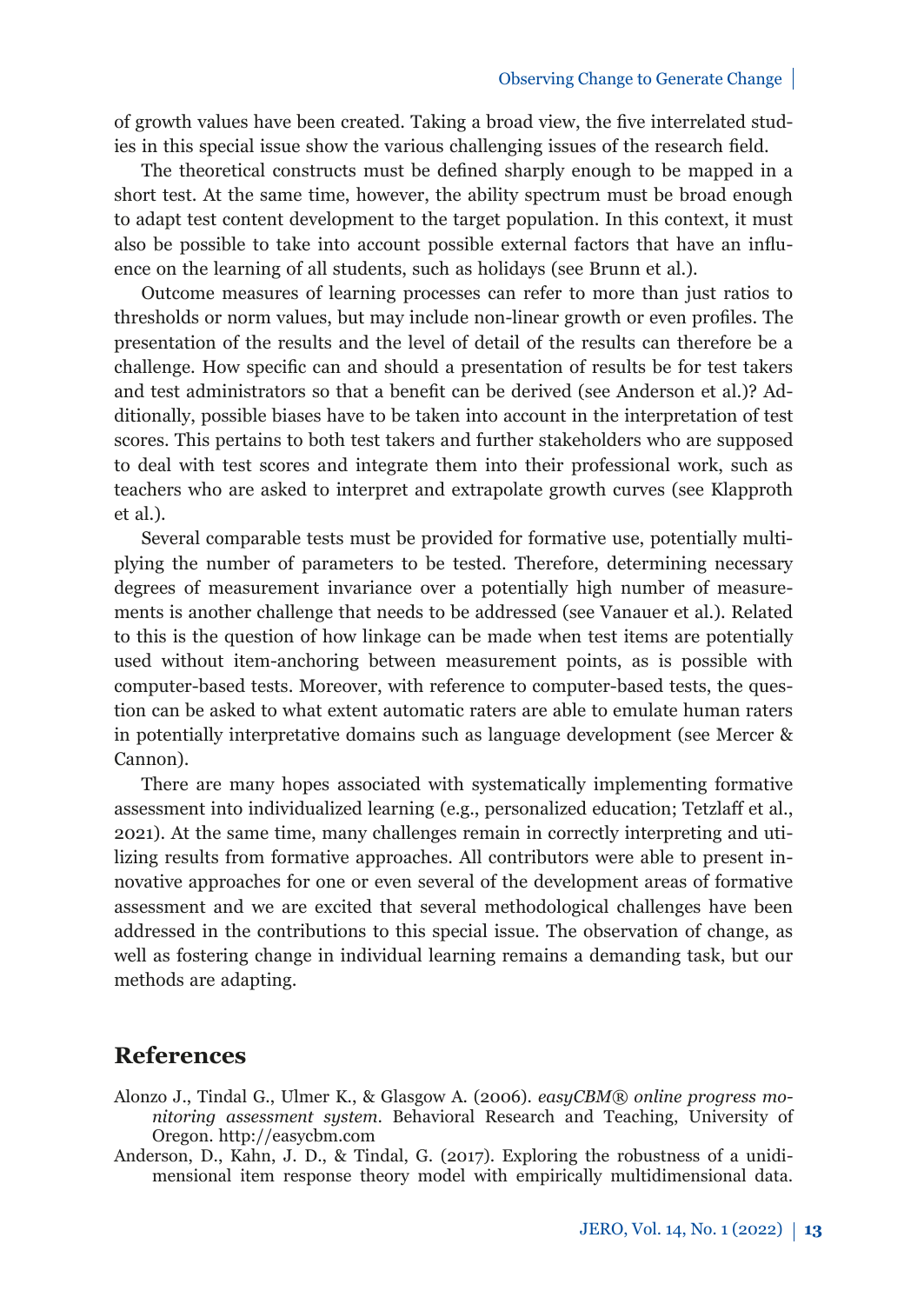of growth values have been created. Taking a broad view, the five interrelated studies in this special issue show the various challenging issues of the research field.

The theoretical constructs must be defined sharply enough to be mapped in a short test. At the same time, however, the ability spectrum must be broad enough to adapt test content development to the target population. In this context, it must also be possible to take into account possible external factors that have an influence on the learning of all students, such as holidays (see Brunn et al.).

Outcome measures of learning processes can refer to more than just ratios to thresholds or norm values, but may include non-linear growth or even profiles. The presentation of the results and the level of detail of the results can therefore be a challenge. How specific can and should a presentation of results be for test takers and test administrators so that a benefit can be derived (see Anderson et al.)? Additionally, possible biases have to be taken into account in the interpretation of test scores. This pertains to both test takers and further stakeholders who are supposed to deal with test scores and integrate them into their professional work, such as teachers who are asked to interpret and extrapolate growth curves (see Klapproth et al.).

Several comparable tests must be provided for formative use, potentially multiplying the number of parameters to be tested. Therefore, determining necessary degrees of measurement invariance over a potentially high number of measurements is another challenge that needs to be addressed (see Vanauer et al.). Related to this is the question of how linkage can be made when test items are potentially used without item-anchoring between measurement points, as is possible with computer-based tests. Moreover, with reference to computer-based tests, the question can be asked to what extent automatic raters are able to emulate human raters in potentially interpretative domains such as language development (see Mercer & Cannon).

There are many hopes associated with systematically implementing formative assessment into individualized learning (e.g., personalized education; Tetzlaff et al., 2021). At the same time, many challenges remain in correctly interpreting and utilizing results from formative approaches. All contributors were able to present innovative approaches for one or even several of the development areas of formative assessment and we are excited that several methodological challenges have been addressed in the contributions to this special issue. The observation of change, as well as fostering change in individual learning remains a demanding task, but our methods are adapting.

### **References**

- Alonzo J., Tindal G., Ulmer K., & Glasgow A. (2006). *easyCBM® online progress monitoring assessment system*. Behavioral Research and Teaching, University of Oregon. http://easycbm.com
- Anderson, D., Kahn, J. D., & Tindal, G. (2017). Exploring the robustness of a unidimensional item response theory model with empirically multidimensional data.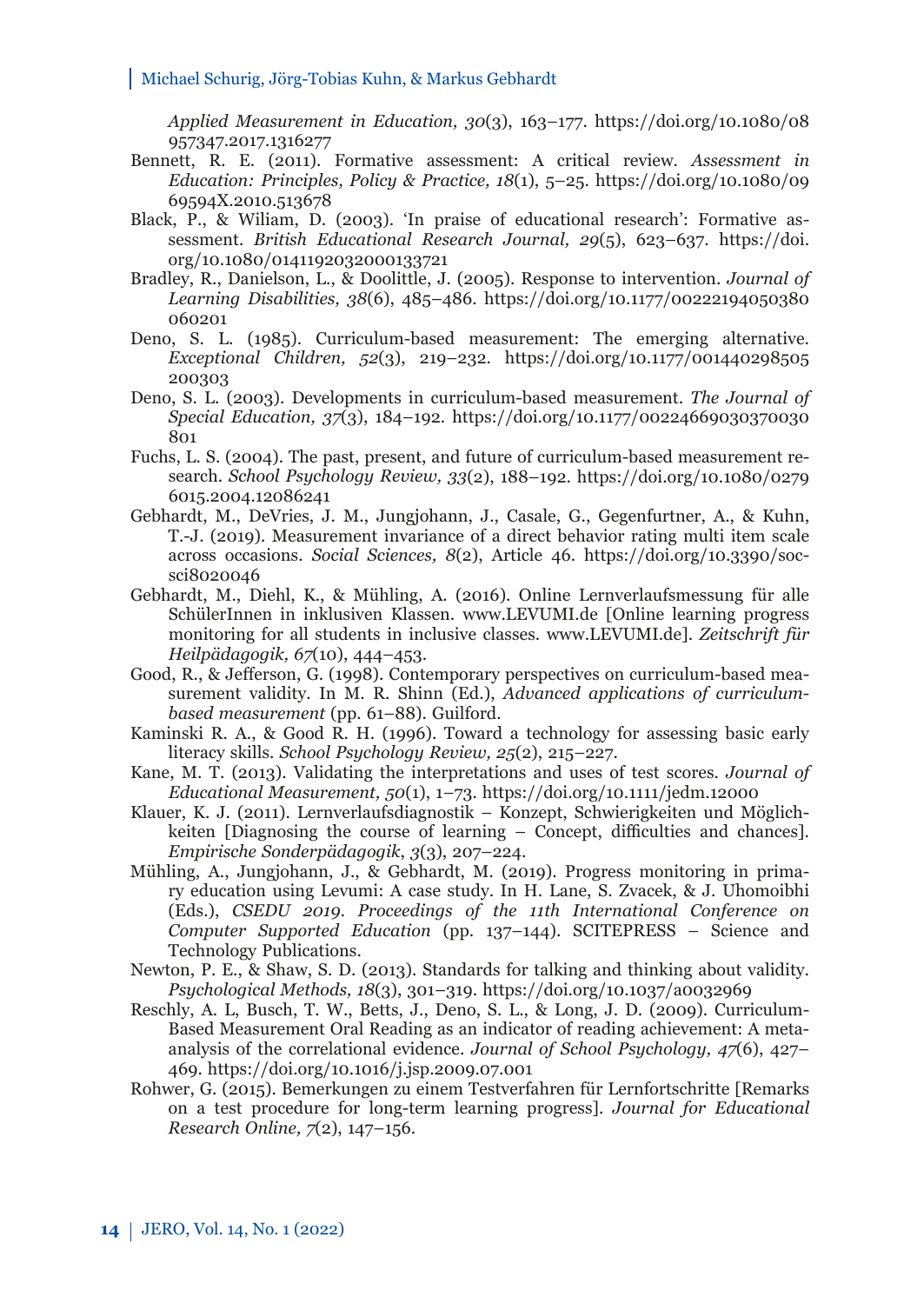#### Michael Schurig, Jörg-Tobias Kuhn, & Markus Gebhardt

*Applied Measurement in Education, 30*[\(3\), 163–177. https://doi.org/10.1080/08](https://doi.org/10.1080/08957347.2017.1316277) 957347.2017.1316277

- Bennett, R. E. (2011). Formative assessment: A critical review. *Assessment in [Education: Principles, Policy & Practice, 18](https://doi.org/10.1080/0969594X.2010.513678)*(1), 5–25. https://doi.org/10.1080/09 69594X.2010.513678
- Black, P., & Wiliam, D. (2003). 'In praise of educational research': Formative assessment. *[British Educational Research Journal, 29](https://doi.org/10.1080/0141192032000133721)*(5), 623–637. https://doi. org/10.1080/0141192032000133721
- Bradley, R., Danielson, L., & Doolittle, J. (2005). Response to intervention. *Journal of Learning Disabilities, 38*[\(6\), 485–486. https://doi.org/10.1177/00222194050380](https://doi.org/10.1177/00222194050380060201) 060201
- Deno, S. L. (1985). Curriculum-based measurement: The emerging alternative. *Exceptional Children, 52*[\(3\), 219–232. https://doi.org/10.1177/001440298505](https://doi.org/10.1177/001440298505200303) 200303
- Deno, S. L. (2003). Developments in curriculum-based measurement. *The Journal of Special Education, 37*(3), 184–192. https://doi.org/10.1177/00224669030370030  $801$
- Fuchs, L. S. (2004). The past, present, and future of curriculum-based measurement research. *School Psychology Review, 33*[\(2\), 188–192. https://doi.org/10.1080/0279](https://doi.org/10.1080/02796015.2004.12086241) 6015.2004.12086241
- Gebhardt, M., DeVries, J. M., Jungjohann, J., Casale, G., Gegenfurtner, A., & Kuhn, T.-J. (2019). Measurement invariance of a direct behavior rating multi item scale across occasions. *Social Sciences, 8*[\(2\), Article 46. https://doi.org/10.3390/soc](https://doi.org/10.3390/socsci8020046)sci8020046
- Gebhardt, M., Diehl, K., & Mühling, A. (2016). Online Lernverlaufsmessung für alle SchülerInnen in inklusiven Klassen. www.LEVUMI.de [Online learning progress monitoring for all students in inclusive classes. www.LEVUMI.de]. *Zeitschrift für Heilpädagogik, 67*(10), 444–453.
- Good, R., & Jefferson, G. (1998). Contemporary perspectives on curriculum-based measurement validity. In M. R. Shinn (Ed.), *Advanced applications of curriculumbased measurement* (pp. 61–88). Guilford.
- Kaminski R. A., & Good R. H. (1996). Toward a technology for assessing basic early literacy skills. *School Psychology Review, 25*(2), 215–227.
- Kane, M. T. (2013). Validating the interpretations and uses of test scores. *Journal of Educational Measurement, 50*(1), 1–73. https://doi.org/10.1111/jedm.12000
- Klauer, K. J. (2011). Lernverlaufsdiagnostik Konzept, Schwierigkeiten und Möglichkeiten [Diagnosing the course of learning – Concept, difficulties and chances]. *Empirische Sonderpädagogik*, *3*(3), 207–224.
- Mühling, A., Jungjohann, J., & Gebhardt, M. (2019). Progress monitoring in primary education using Levumi: A case study. In H. Lane, S. Zvacek, & J. Uhomoibhi (Eds.), *CSEDU 2019. Proceedings of the 11th International Conference on Computer Supported Education* (pp. 137–144). SCITEPRESS – Science and Technology Publications.
- Newton, P. E., & Shaw, S. D. (2013). Standards for talking and thinking about validity. *Psychological Methods, 18*(3), 301–319. https://doi.org/10.1037/a0032969
- Reschly, A. L, Busch, T. W., Betts, J., Deno, S. L., & Long, J. D. (2009). Curriculum-Based Measurement Oral Reading as an indicator of reading achievement: A metaanalysis of the correlational evidence. *Journal of School Psychology, 47*(6), 427– 469. https://doi.org/10.1016/j.jsp.2009.07.001
- Rohwer, G. (2015). Bemerkungen zu einem Testverfahren für Lernfortschritte [Remarks on a test procedure for long-term learning progress]. *Journal for Educational Research Online, 7*(2), 147–156.